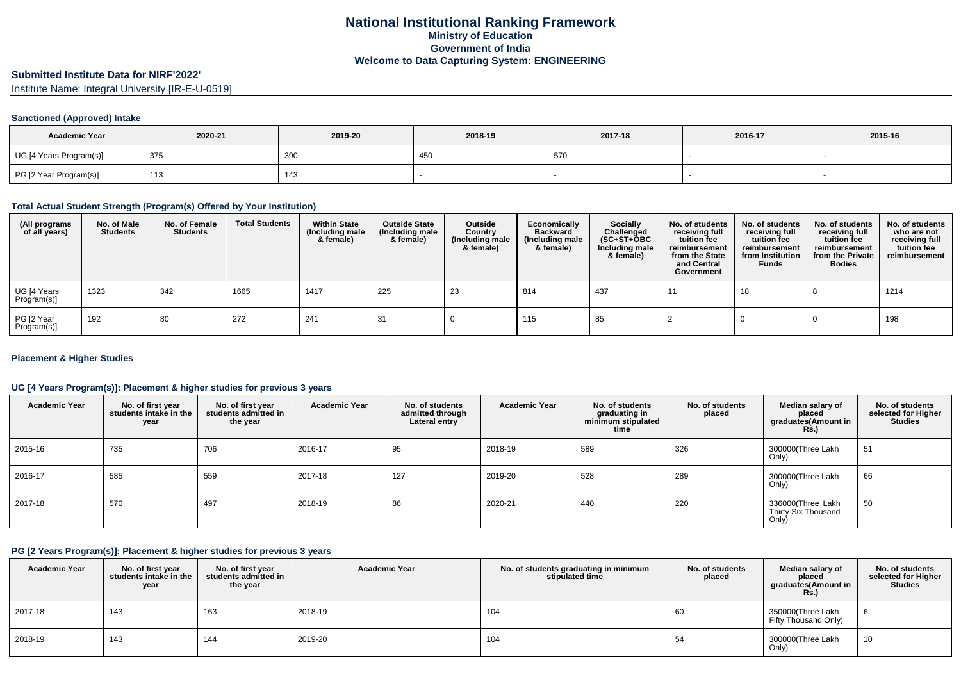## **Submitted Institute Data for NIRF'2022'**

Institute Name: Integral University [IR-E-U-0519]

#### **Sanctioned (Approved) Intake**

| <b>Academic Year</b>    | 2020-21 | 2019-20 | 2018-19 | 2017-18 | 2016-17 | 2015-16 |
|-------------------------|---------|---------|---------|---------|---------|---------|
| UG [4 Years Program(s)] | 375     | 39C     | 45⊾     | 570     |         |         |
| PG [2 Year Program(s)]  | 113     | 143     |         |         |         |         |

### **Total Actual Student Strength (Program(s) Offered by Your Institution)**

| (All programs<br>of all years) | No. of Male<br><b>Students</b> | No. of Female<br><b>Students</b> | <b>Total Students</b> | <b>Within State</b><br>(Including male<br>& female) | <b>Outside State</b><br>(Including male<br>& female) | Outside<br>Country<br>(Including male<br>& female) | Economically<br><b>Backward</b><br>(Including male<br>& female) | <b>Socially</b><br>Challenged<br>$(SC+ST+OBC$<br>Including male<br>& female) | No. of students<br>receiving full<br>tuition fee<br>reimbursement<br>from the State<br>and Central<br>Government | No. of students<br>receiving full<br>tuition fee<br>reimbursement<br>from Institution<br><b>Funds</b> | No. of students<br>receiving full<br>tuition fee<br>reimbursement<br>from the Private<br><b>Bodies</b> | No. of students<br>who are not<br>receiving full<br>tuition fee<br>reimbursement |
|--------------------------------|--------------------------------|----------------------------------|-----------------------|-----------------------------------------------------|------------------------------------------------------|----------------------------------------------------|-----------------------------------------------------------------|------------------------------------------------------------------------------|------------------------------------------------------------------------------------------------------------------|-------------------------------------------------------------------------------------------------------|--------------------------------------------------------------------------------------------------------|----------------------------------------------------------------------------------|
| UG [4 Years<br>Program(s)]     | 1323                           | 342                              | 1665                  | 1417                                                | 225                                                  | 23                                                 | 814                                                             | 437                                                                          |                                                                                                                  | 18                                                                                                    |                                                                                                        | 1214                                                                             |
| PG [2 Year<br>Program(s)]      | 192                            | 80                               | 272                   | 241                                                 | -31                                                  |                                                    | 115                                                             | 85                                                                           |                                                                                                                  |                                                                                                       |                                                                                                        | 198                                                                              |

### **Placement & Higher Studies**

### **UG [4 Years Program(s)]: Placement & higher studies for previous 3 years**

| <b>Academic Year</b> | No. of first year<br>students intake in the<br>year | No. of first vear<br>students admitted in<br>the year | <b>Academic Year</b> | No. of students<br>admitted through<br>Lateral entry | <b>Academic Year</b> | No. of students<br>graduating in<br>minimum stipulated<br>time | No. of students<br>placed | Median salary of<br>placed<br>graduates(Amount in<br>Rs.) | No. of students<br>selected for Higher<br><b>Studies</b> |
|----------------------|-----------------------------------------------------|-------------------------------------------------------|----------------------|------------------------------------------------------|----------------------|----------------------------------------------------------------|---------------------------|-----------------------------------------------------------|----------------------------------------------------------|
| 2015-16              | 735                                                 | 706                                                   | 2016-17              | 95                                                   | 2018-19              | 589                                                            | 326                       | 300000(Three Lakh<br>Only)                                | 51                                                       |
| 2016-17              | 585                                                 | 559                                                   | 2017-18              | 127                                                  | 2019-20              | 528                                                            | 289                       | 300000(Three Lakh<br>Only)                                | 66                                                       |
| 2017-18              | 570                                                 | 497                                                   | 2018-19              | 86                                                   | 2020-21              | 440                                                            | 220                       | 336000(Three Lakh<br>Thirty Six Thousand<br>Only)         | 50                                                       |

### **PG [2 Years Program(s)]: Placement & higher studies for previous 3 years**

| <b>Academic Year</b> | No. of first year<br>students intake in the<br>year | No. of first vear<br>students admitted in<br>the year | <b>Academic Year</b> | No. of students graduating in minimum<br>stipulated time | No. of students<br>placed | Median salary of<br>placed<br>graduates(Amount in<br><b>Rs.)</b> | No. of students<br>selected for Higher<br><b>Studies</b> |
|----------------------|-----------------------------------------------------|-------------------------------------------------------|----------------------|----------------------------------------------------------|---------------------------|------------------------------------------------------------------|----------------------------------------------------------|
| 2017-18              | 143                                                 | 163                                                   | 2018-19              | 104                                                      | 60                        | 350000(Three Lakh<br>Fifty Thousand Only)                        | -6                                                       |
| 2018-19              | 143                                                 | 144                                                   | 2019-20              | 104                                                      | 54                        | 300000(Three Lakh<br>Only)                                       | 10                                                       |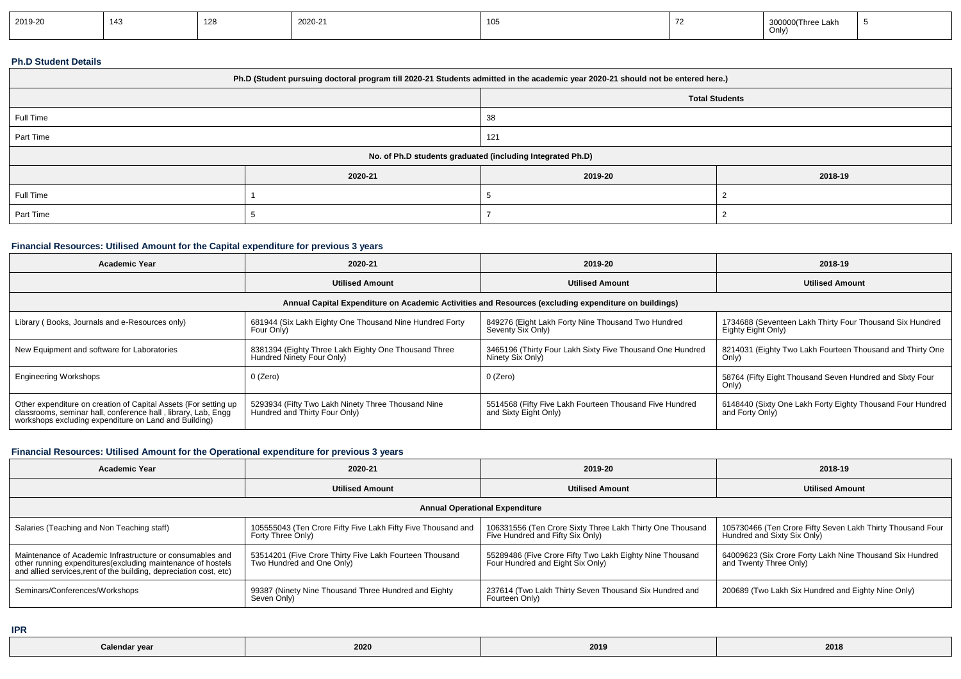| 2019-20 | 143 | 128 | 2020-21 | $\sim$<br>טטו | Three Lakh<br>3000<br>Only) |  |
|---------|-----|-----|---------|---------------|-----------------------------|--|
|         |     |     |         |               |                             |  |

### **Ph.D Student Details**

| Ph.D (Student pursuing doctoral program till 2020-21 Students admitted in the academic year 2020-21 should not be entered here.) |         |                                                            |         |  |  |  |
|----------------------------------------------------------------------------------------------------------------------------------|---------|------------------------------------------------------------|---------|--|--|--|
|                                                                                                                                  |         | <b>Total Students</b>                                      |         |  |  |  |
| Full Time                                                                                                                        |         | 38                                                         |         |  |  |  |
| Part Time                                                                                                                        |         | 121                                                        |         |  |  |  |
|                                                                                                                                  |         | No. of Ph.D students graduated (including Integrated Ph.D) |         |  |  |  |
|                                                                                                                                  | 2020-21 | 2019-20                                                    | 2018-19 |  |  |  |
| Full Time                                                                                                                        |         |                                                            |         |  |  |  |
| Part Time                                                                                                                        |         |                                                            |         |  |  |  |

## **Financial Resources: Utilised Amount for the Capital expenditure for previous 3 years**

| <b>Academic Year</b>                                                                                                                                                                      | 2020-21                                                                             | 2019-20                                                                          | 2018-19                                                                        |  |  |  |  |
|-------------------------------------------------------------------------------------------------------------------------------------------------------------------------------------------|-------------------------------------------------------------------------------------|----------------------------------------------------------------------------------|--------------------------------------------------------------------------------|--|--|--|--|
|                                                                                                                                                                                           | <b>Utilised Amount</b>                                                              | <b>Utilised Amount</b>                                                           | <b>Utilised Amount</b>                                                         |  |  |  |  |
| Annual Capital Expenditure on Academic Activities and Resources (excluding expenditure on buildings)                                                                                      |                                                                                     |                                                                                  |                                                                                |  |  |  |  |
| Library (Books, Journals and e-Resources only)                                                                                                                                            | 681944 (Six Lakh Eighty One Thousand Nine Hundred Forty<br>Four Only)               | 849276 (Eight Lakh Forty Nine Thousand Two Hundred<br>Seventy Six Only)          | 1734688 (Seventeen Lakh Thirty Four Thousand Six Hundred<br>Eighty Eight Only) |  |  |  |  |
| New Equipment and software for Laboratories                                                                                                                                               | 8381394 (Eighty Three Lakh Eighty One Thousand Three<br>Hundred Ninety Four Only)   | 3465196 (Thirty Four Lakh Sixty Five Thousand One Hundred<br>Ninety Six Only)    | 8214031 (Eighty Two Lakh Fourteen Thousand and Thirty One<br>Only)             |  |  |  |  |
| <b>Engineering Workshops</b>                                                                                                                                                              | 0 (Zero)                                                                            | 0 (Zero)                                                                         | 58764 (Fifty Eight Thousand Seven Hundred and Sixty Four<br>Only)              |  |  |  |  |
| Other expenditure on creation of Capital Assets (For setting up<br>classrooms, seminar hall, conference hall, library, Lab, Engg<br>workshops excluding expenditure on Land and Building) | 5293934 (Fifty Two Lakh Ninety Three Thousand Nine<br>Hundred and Thirty Four Only) | 5514568 (Fifty Five Lakh Fourteen Thousand Five Hundred<br>and Sixty Eight Only) | 6148440 (Sixty One Lakh Forty Eighty Thousand Four Hundred<br>and Forty Only)  |  |  |  |  |

## **Financial Resources: Utilised Amount for the Operational expenditure for previous 3 years**

| <b>Academic Year</b>                                                                                                                                                                            | 2020-21                                                                              | 2019-20                                                                                       | 2018-19                                                                                  |  |  |  |  |
|-------------------------------------------------------------------------------------------------------------------------------------------------------------------------------------------------|--------------------------------------------------------------------------------------|-----------------------------------------------------------------------------------------------|------------------------------------------------------------------------------------------|--|--|--|--|
|                                                                                                                                                                                                 | <b>Utilised Amount</b>                                                               | <b>Utilised Amount</b>                                                                        | <b>Utilised Amount</b>                                                                   |  |  |  |  |
| <b>Annual Operational Expenditure</b>                                                                                                                                                           |                                                                                      |                                                                                               |                                                                                          |  |  |  |  |
| Salaries (Teaching and Non Teaching staff)                                                                                                                                                      | 105555043 (Ten Crore Fifty Five Lakh Fifty Five Thousand and<br>Forty Three Only)    | 106331556 (Ten Crore Sixty Three Lakh Thirty One Thousand<br>Five Hundred and Fifty Six Only) | 105730466 (Ten Crore Fifty Seven Lakh Thirty Thousand Four<br>Hundred and Sixty Six Only |  |  |  |  |
| Maintenance of Academic Infrastructure or consumables and<br>other running expenditures (excluding maintenance of hostels<br>and allied services, rent of the building, depreciation cost, etc) | 53514201 (Five Crore Thirty Five Lakh Fourteen Thousand<br>Two Hundred and One Only) | 55289486 (Five Crore Fifty Two Lakh Eighty Nine Thousand<br>Four Hundred and Eight Six Only)  | 64009623 (Six Crore Forty Lakh Nine Thousand Six Hundred<br>and Twenty Three Only)       |  |  |  |  |
| Seminars/Conferences/Workshops                                                                                                                                                                  | 99387 (Ninety Nine Thousand Three Hundred and Eighty<br>Seven Only)                  | 237614 (Two Lakh Thirty Seven Thousand Six Hundred and<br>Fourteen Only)                      | 200689 (Two Lakh Six Hundred and Eighty Nine Only)                                       |  |  |  |  |

**IPR**

| Calendar year | 2020<br>___ | 2019 | 2018 |
|---------------|-------------|------|------|
|---------------|-------------|------|------|